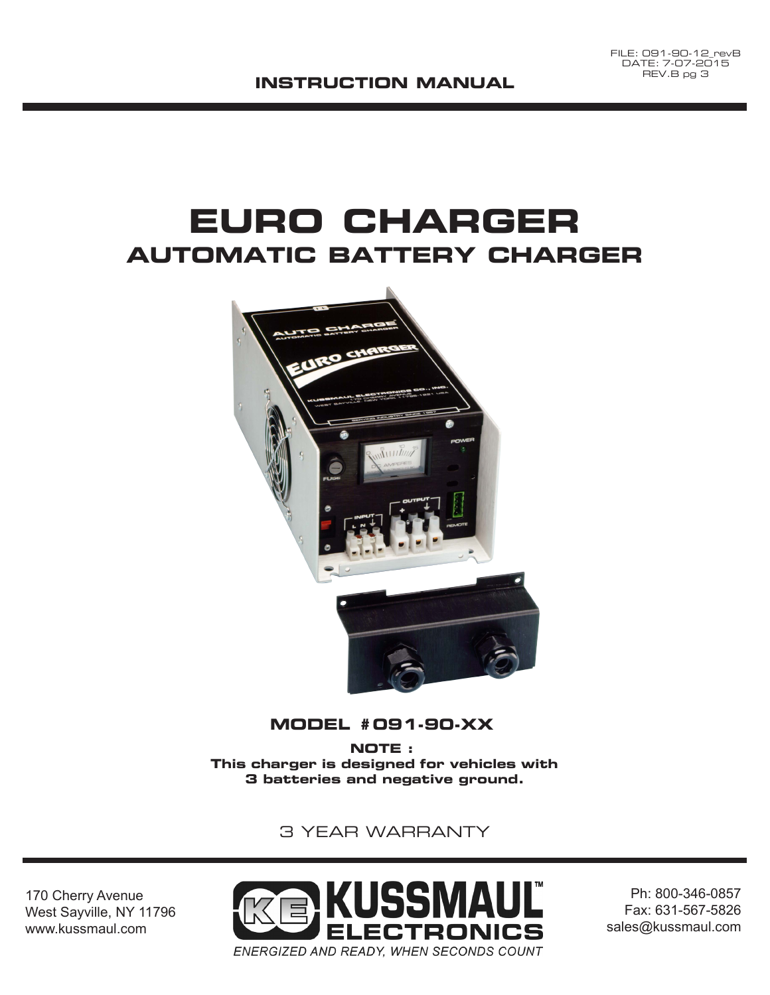#### **INSTRUCTION MANUAL**

# **EURO CHARGER AUTOMATIC BATTERY CHARGER**



### **MODEL #091-90-XX**

**NOTE : This charger is designed for vehicles with 3 batteries and negative ground.**

### 3 YEAR WARRANTY

170 Cherry Avenue West Sayville, NY 11796 www.kussmaul.com



Ph: 800-346-0857 Fax: 631-567-5826 sales@kussmaul.com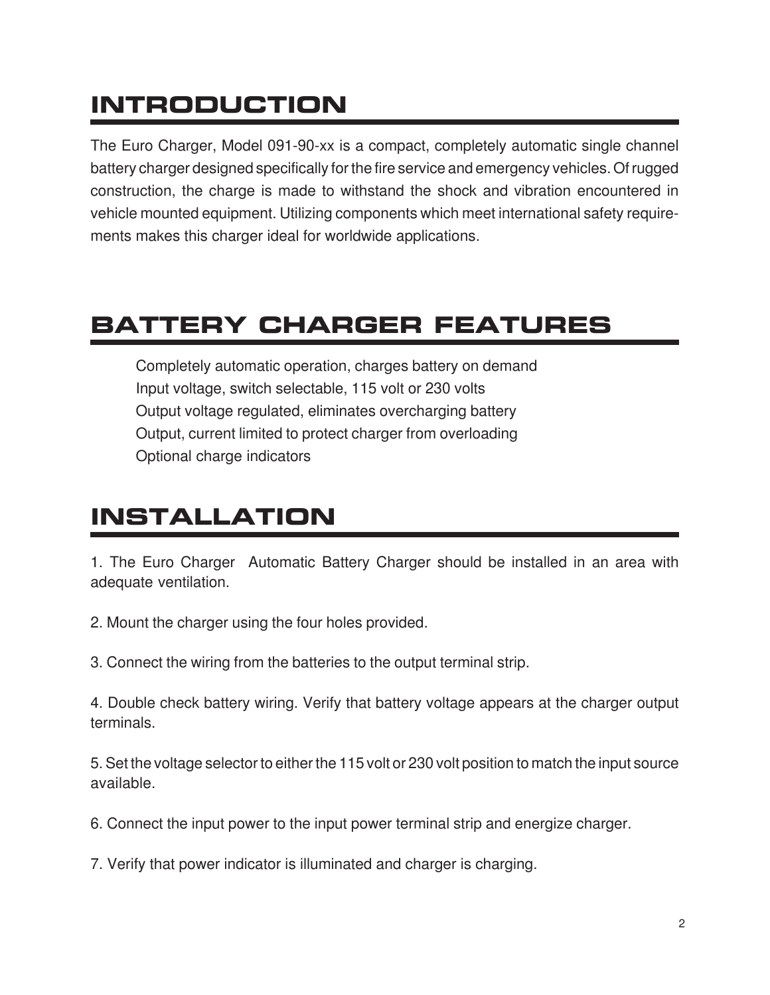# **INTRODUCTION**

The Euro Charger, Model 091-90-xx is a compact, completely automatic single channel battery charger designed specifically for the fire service and emergency vehicles. Of rugged construction, the charge is made to withstand the shock and vibration encountered in vehicle mounted equipment. Utilizing components which meet international safety requirements makes this charger ideal for worldwide applications.

## **BATTERY CHARGER FEATURES**

Completely automatic operation, charges battery on demand Input voltage, switch selectable, 115 volt or 230 volts Output voltage regulated, eliminates overcharging battery Output, current limited to protect charger from overloading Optional charge indicators

## **INSTALLATION**

1. The Euro Charger Automatic Battery Charger should be installed in an area with adequate ventilation.

2. Mount the charger using the four holes provided.

3. Connect the wiring from the batteries to the output terminal strip.

4. Double check battery wiring. Verify that battery voltage appears at the charger output terminals.

5. Set the voltage selector to either the 115 volt or 230 volt position to match the input source available.

6. Connect the input power to the input power terminal strip and energize charger.

7. Verify that power indicator is illuminated and charger is charging.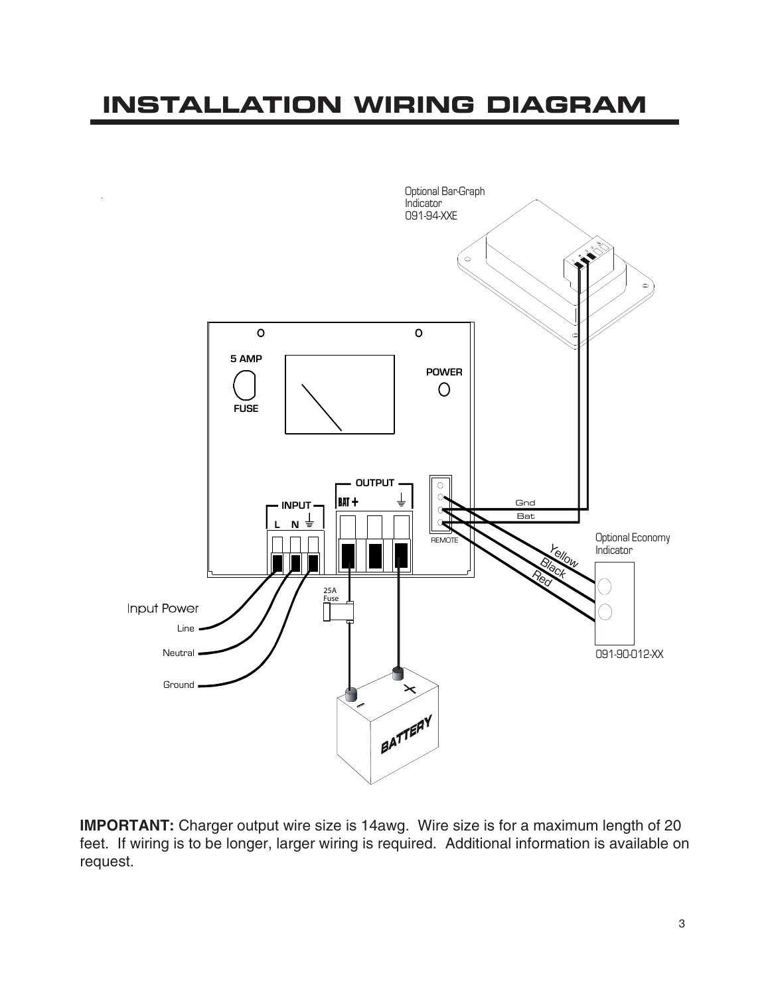## **INSTALLATION WIRING DIAGRAM**

![](_page_2_Figure_1.jpeg)

**IMPORTANT:** Charger output wire size is 14awg. Wire size is for a maximum length of 20 feet. If wiring is to be longer, larger wiring is required. Additional information is available on request.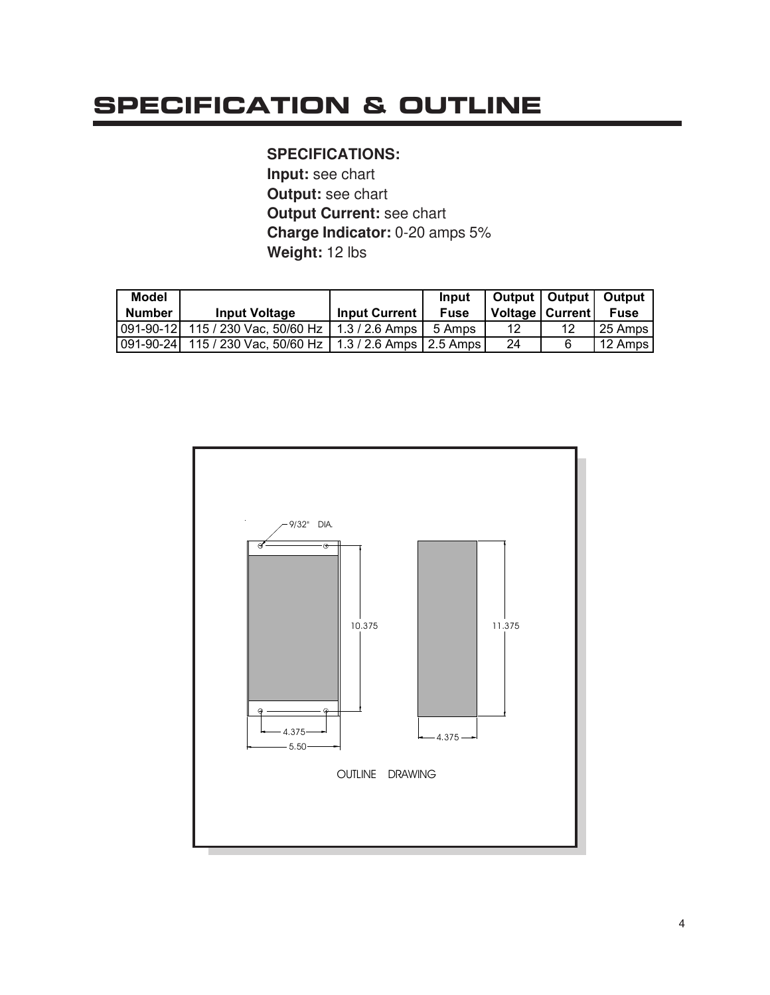# **SPECIFICATION & OUTLINE**

### **SPECIFICATIONS:**

**Input:** see chart **Output:** see chart **Output Current:** see chart **Charge Indicator:** 0-20 amps 5% **Weight:** 12 lbs

| Model         |                                                                |                      | Input       |                   | Output   Output   Output |
|---------------|----------------------------------------------------------------|----------------------|-------------|-------------------|--------------------------|
| <b>Number</b> | <b>Input Voltage</b>                                           | <b>Input Current</b> | <b>Fuse</b> | Voltage   Current | <b>Fuse</b>              |
|               | 091-90-12 115 / 230 Vac, 50/60 Hz   1.3 / 2.6 Amps   5 Amps    |                      |             | 12                | 25 Amps                  |
|               | 091-90-24  115 / 230 Vac, 50/60 Hz   1.3 / 2.6 Amps   2.5 Amps |                      |             | 24                | 12 Amps                  |

![](_page_3_Figure_4.jpeg)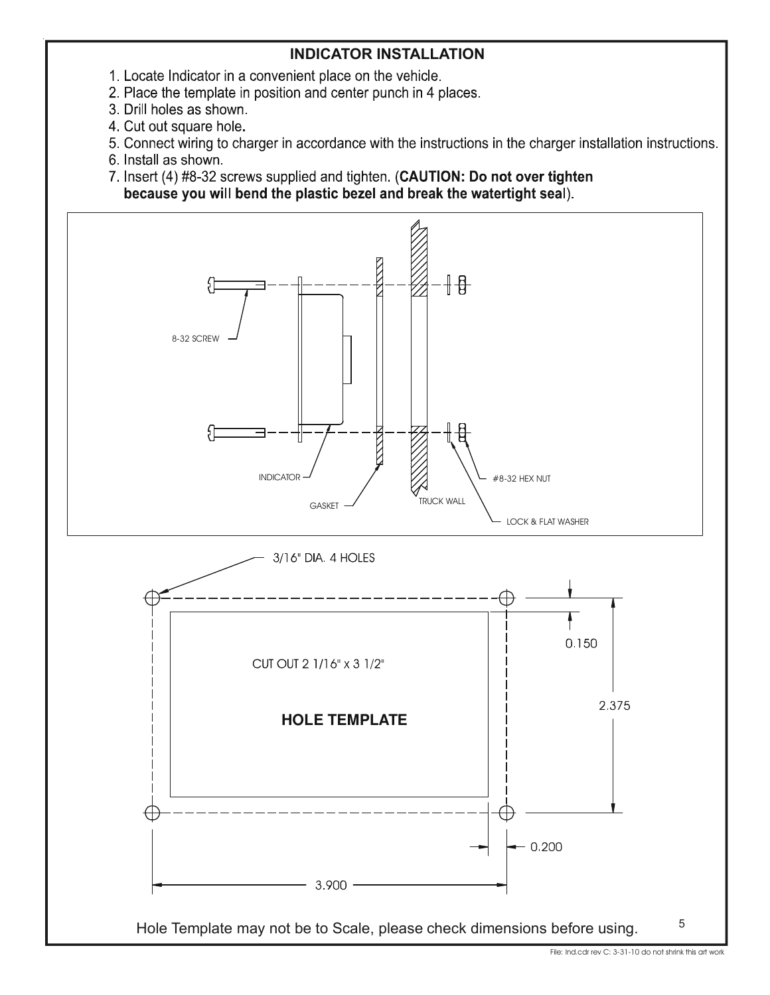### **INDICATOR INSTALLATION**

- 1. Locate Indicator in a convenient place on the vehicle.
- 2. Place the template in position and center punch in 4 places.
- 3. Drill holes as shown.
- 4. Cut out square hole.
- 5. Connect wiring to charger in accordance with the instructions in the charger installation instructions.
- 6. Install as shown.

7. Insert (4) #8-32 screws supplied and tighten. (CAUTION: Do not over tighten because you will bend the plastic bezel and break the watertight seal).

![](_page_4_Figure_8.jpeg)